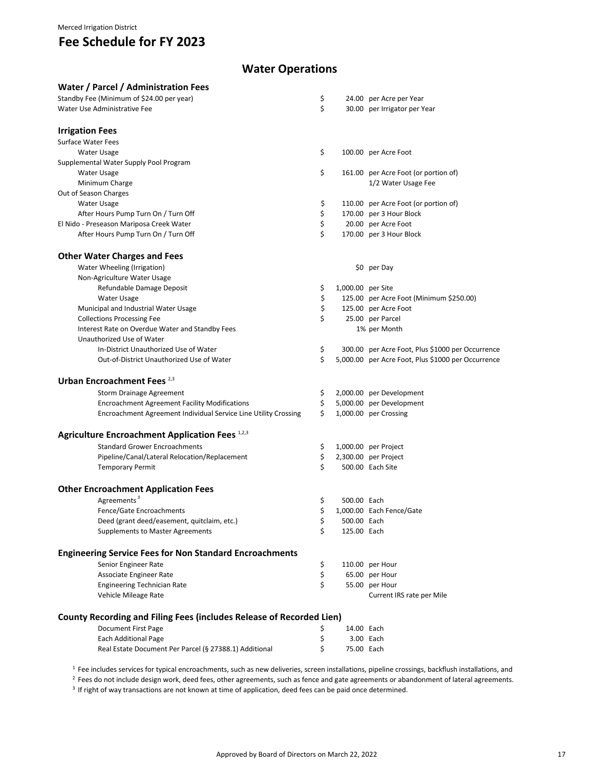### **Water Operations**

| Water / Parcel / Administration Fees                                 |    |                   |                                                    |
|----------------------------------------------------------------------|----|-------------------|----------------------------------------------------|
| Standby Fee (Minimum of \$24.00 per year)                            | \$ |                   | 24.00 per Acre per Year                            |
| Water Use Administrative Fee                                         | \$ |                   | 30.00 per Irrigator per Year                       |
|                                                                      |    |                   |                                                    |
| <b>Irrigation Fees</b>                                               |    |                   |                                                    |
| <b>Surface Water Fees</b>                                            |    |                   |                                                    |
| Water Usage                                                          | \$ |                   | 100.00 per Acre Foot                               |
| Supplemental Water Supply Pool Program                               |    |                   |                                                    |
| Water Usage                                                          | \$ |                   | 161.00 per Acre Foot (or portion of)               |
| Minimum Charge                                                       |    |                   | 1/2 Water Usage Fee                                |
| Out of Season Charges                                                |    |                   |                                                    |
| Water Usage                                                          | \$ |                   | 110.00 per Acre Foot (or portion of)               |
| After Hours Pump Turn On / Turn Off                                  | \$ |                   | 170.00 per 3 Hour Block                            |
| El Nido - Preseason Mariposa Creek Water                             | \$ |                   | 20.00 per Acre Foot                                |
| After Hours Pump Turn On / Turn Off                                  | \$ |                   | 170.00 per 3 Hour Block                            |
|                                                                      |    |                   |                                                    |
| <b>Other Water Charges and Fees</b>                                  |    |                   |                                                    |
| Water Wheeling (Irrigation)                                          |    |                   | \$0 per Day                                        |
| Non-Agriculture Water Usage                                          |    |                   |                                                    |
| Refundable Damage Deposit                                            | \$ | 1,000.00 per Site |                                                    |
| Water Usage                                                          | \$ |                   | 125.00 per Acre Foot (Minimum \$250.00)            |
| Municipal and Industrial Water Usage                                 | \$ |                   | 125.00 per Acre Foot                               |
| <b>Collections Processing Fee</b>                                    | \$ |                   | 25.00 per Parcel                                   |
| Interest Rate on Overdue Water and Standby Fees                      |    |                   | 1% per Month                                       |
| Unauthorized Use of Water                                            |    |                   |                                                    |
| In-District Unauthorized Use of Water                                | \$ |                   | 300.00 per Acre Foot, Plus \$1000 per Occurrence   |
| Out-of-District Unauthorized Use of Water                            | \$ |                   | 5,000.00 per Acre Foot, Plus \$1000 per Occurrence |
| Urban Encroachment Fees <sup>2,3</sup>                               |    |                   |                                                    |
| <b>Storm Drainage Agreement</b>                                      | \$ |                   | 2,000.00 per Development                           |
| <b>Encroachment Agreement Facility Modifications</b>                 | \$ |                   | 5,000.00 per Development                           |
| Encroachment Agreement Individual Service Line Utility Crossing      | \$ |                   | 1,000.00 per Crossing                              |
|                                                                      |    |                   |                                                    |
| Agriculture Encroachment Application Fees 1,2,3                      |    |                   |                                                    |
| <b>Standard Grower Encroachments</b>                                 | \$ |                   | 1,000.00 per Project                               |
| Pipeline/Canal/Lateral Relocation/Replacement                        | \$ |                   | 2,300.00 per Project                               |
| <b>Temporary Permit</b>                                              | \$ |                   | 500.00 Each Site                                   |
|                                                                      |    |                   |                                                    |
| <b>Other Encroachment Application Fees</b>                           |    |                   |                                                    |
| Agreements <sup>3</sup>                                              | \$ | 500.00 Each       |                                                    |
| Fence/Gate Encroachments                                             | \$ |                   | 1,000.00 Each Fence/Gate                           |
| Deed (grant deed/easement, quitclaim, etc.)                          | \$ | 500.00 Each       |                                                    |
| <b>Supplements to Master Agreements</b>                              | \$ | 125.00 Each       |                                                    |
| <b>Engineering Service Fees for Non Standard Encroachments</b>       |    |                   |                                                    |
| Senior Engineer Rate                                                 | \$ |                   | 110.00 per Hour                                    |
| Associate Engineer Rate                                              | \$ |                   | 65.00 per Hour                                     |
| <b>Engineering Technician Rate</b>                                   | \$ |                   | 55.00 per Hour                                     |
| Vehicle Mileage Rate                                                 |    |                   | Current IRS rate per Mile                          |
|                                                                      |    |                   |                                                    |
| County Recording and Filing Fees (includes Release of Recorded Lien) |    |                   |                                                    |
| <b>Document First Page</b>                                           | Ş  | 14.00 Each        |                                                    |
| <b>Each Additional Page</b>                                          | \$ |                   | 3.00 Each                                          |
| Real Estate Document Per Parcel (§ 27388.1) Additional               | \$ | 75.00 Each        |                                                    |

<sup>1</sup> Fee includes services for typical encroachments, such as new deliveries, screen installations, pipeline crossings, backflush installations, and

<sup>2</sup> Fees do not include design work, deed fees, other agreements, such as fence and gate agreements or abandonment of lateral agreements.

<sup>3</sup> If right of way transactions are not known at time of application, deed fees can be paid once determined.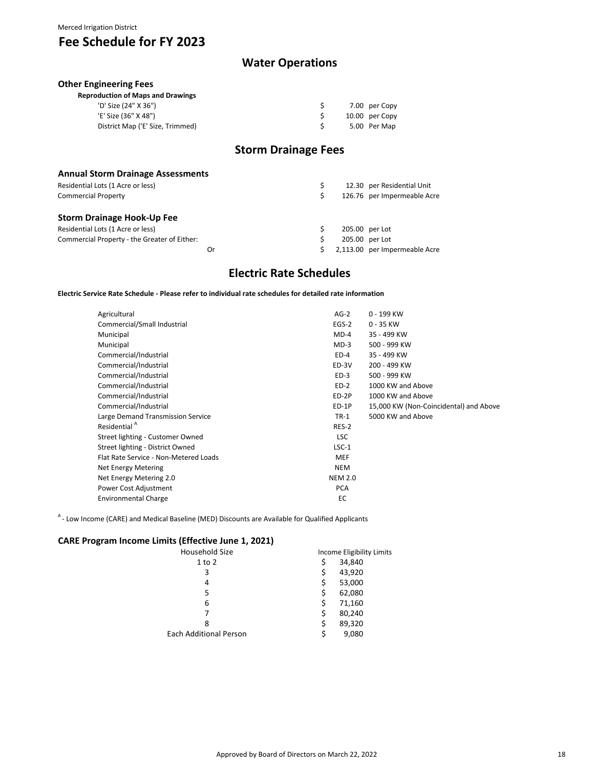### **Water Operations**

\$ 7.00 per Copy

#### **Other Engineering Fees**

| <b>Reproduction of Maps and Drawings</b> |  |
|------------------------------------------|--|
| 'D' Size (24" X 36")                     |  |

| 'E' Size (36" X 48")             |  | 10.00 per Copy |
|----------------------------------|--|----------------|
| District Map ('E' Size, Trimmed) |  | 5.00 Per Map   |

### **Storm Drainage Fees**

| <b>Annual Storm Drainage Assessments</b>     |  |                               |
|----------------------------------------------|--|-------------------------------|
| Residential Lots (1 Acre or less)            |  | 12.30 per Residential Unit    |
| <b>Commercial Property</b>                   |  | 126.76 per Impermeable Acre   |
| Storm Drainage Hook-Up Fee                   |  |                               |
| Residential Lots (1 Acre or less)            |  | 205.00 per Lot                |
| Commercial Property - the Greater of Either: |  | 205.00 per Lot                |
| Or                                           |  | 2,113.00 per Impermeable Acre |

#### **Electric Rate Schedules**

**Electric Service Rate Schedule - Please refer to individual rate schedules for detailed rate information**

| Agricultural                          | $AG-2$         | 0 - 199 KW                             |
|---------------------------------------|----------------|----------------------------------------|
| Commercial/Small Industrial           | $EGS-2$        | $0 - 35$ KW                            |
| Municipal                             | $MD-4$         | 35 - 499 KW                            |
| Municipal                             | $MD-3$         | 500 - 999 KW                           |
| Commercial/Industrial                 | $ED-4$         | 35 - 499 KW                            |
| Commercial/Industrial                 | ED-3V          | 200 - 499 KW                           |
| Commercial/Industrial                 | $ED-3$         | 500 - 999 KW                           |
| Commercial/Industrial                 | $ED-2$         | 1000 KW and Above                      |
| Commercial/Industrial                 | ED-2P          | 1000 KW and Above                      |
| Commercial/Industrial                 | ED-1P          | 15,000 KW (Non-Coincidental) and Above |
| Large Demand Transmission Service     | $TR-1$         | 5000 KW and Above                      |
| Residential <sup>A</sup>              | RES-2          |                                        |
| Street lighting - Customer Owned      | <b>LSC</b>     |                                        |
| Street lighting - District Owned      | $LSC-1$        |                                        |
| Flat Rate Service - Non-Metered Loads | <b>MEF</b>     |                                        |
| <b>Net Energy Metering</b>            | <b>NEM</b>     |                                        |
| Net Energy Metering 2.0               | <b>NEM 2.0</b> |                                        |
| Power Cost Adjustment                 | <b>PCA</b>     |                                        |
| <b>Environmental Charge</b>           | EC             |                                        |
|                                       |                |                                        |

 $A$ - Low Income (CARE) and Medical Baseline (MED) Discounts are Available for Qualified Applicants

#### **CARE Program Income Limits (Effective June 1, 2021)**

| Household Size                | Income Eligibility Limits |  |  |  |  |
|-------------------------------|---------------------------|--|--|--|--|
| $1$ to $2$                    | \$<br>34,840              |  |  |  |  |
| 3                             | \$<br>43,920              |  |  |  |  |
| 4                             | \$<br>53,000              |  |  |  |  |
| 5                             | \$<br>62,080              |  |  |  |  |
| 6                             | \$<br>71,160              |  |  |  |  |
| 7                             | \$<br>80,240              |  |  |  |  |
| 8                             | \$<br>89,320              |  |  |  |  |
| <b>Each Additional Person</b> | \$<br>9,080               |  |  |  |  |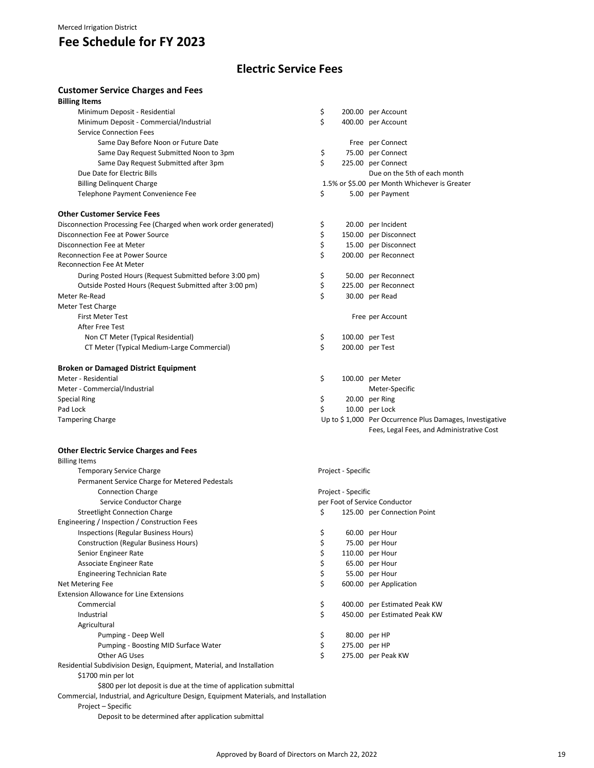### **Electric Service Fees**

#### **Customer Service Charges and Fees**

| <b>Billing Items</b>                                             |    |                                               |
|------------------------------------------------------------------|----|-----------------------------------------------|
| Minimum Deposit - Residential                                    | \$ | 200.00 per Account                            |
| Minimum Deposit - Commercial/Industrial                          | \$ | 400.00 per Account                            |
| <b>Service Connection Fees</b>                                   |    |                                               |
| Same Day Before Noon or Future Date                              |    | Free per Connect                              |
| Same Day Request Submitted Noon to 3pm                           | \$ | 75.00 per Connect                             |
| Same Day Request Submitted after 3pm                             | Ś. | 225.00 per Connect                            |
| Due Date for Electric Bills                                      |    | Due on the 5th of each month                  |
| <b>Billing Delinquent Charge</b>                                 |    | 1.5% or \$5.00 per Month Whichever is Greater |
| Telephone Payment Convenience Fee                                | \$ | 5.00 per Payment                              |
| <b>Other Customer Service Fees</b>                               |    |                                               |
| Disconnection Processing Fee (Charged when work order generated) | \$ | 20.00 per Incident                            |
| Disconnection Fee at Power Source                                | \$ | 150.00 per Disconnect                         |
| Disconnection Fee at Meter                                       | \$ | 15.00 per Disconnect                          |
| <b>Reconnection Fee at Power Source</b>                          | \$ | 200.00 per Reconnect                          |
| <b>Reconnection Fee At Meter</b>                                 |    |                                               |
| During Posted Hours (Request Submitted before 3:00 pm)           | \$ | 50.00 per Reconnect                           |
| Outside Posted Hours (Request Submitted after 3:00 pm)           | \$ | 225.00 per Reconnect                          |
| Meter Re-Read                                                    | \$ | 30.00 per Read                                |
| <b>Meter Test Charge</b>                                         |    |                                               |
| <b>First Meter Test</b>                                          |    | Free per Account                              |
| After Free Test                                                  |    |                                               |
| Non CT Meter (Typical Residential)                               | \$ | 100.00 per Test                               |
| CT Meter (Typical Medium-Large Commercial)                       | \$ | 200.00 per Test                               |
| <b>Broken or Damaged District Equipment</b>                      |    |                                               |
| Meter - Residential                                              | \$ | 100.00 per Meter                              |

| Meter - Residential           | 100.00 per Meter                                         |
|-------------------------------|----------------------------------------------------------|
| Meter - Commercial/Industrial | Meter-Specific                                           |
| Special Ring                  | 20.00 per Ring                                           |
| Pad Lock                      | 10.00 per Lock                                           |
| <b>Tampering Charge</b>       | Up to \$1,000 Per Occurrence Plus Damages, Investigative |
|                               | Fees, Legal Fees, and Administrative Cost                |

#### **Other Electric Service Charges and Fees**

| <b>Billing Items</b>                                                                  |    |                    |                               |
|---------------------------------------------------------------------------------------|----|--------------------|-------------------------------|
| <b>Temporary Service Charge</b>                                                       |    | Project - Specific |                               |
| Permanent Service Charge for Metered Pedestals                                        |    |                    |                               |
| <b>Connection Charge</b>                                                              |    | Project - Specific |                               |
| Service Conductor Charge                                                              |    |                    | per Foot of Service Conductor |
| <b>Streetlight Connection Charge</b>                                                  | \$ |                    | 125.00 per Connection Point   |
| Engineering / Inspection / Construction Fees                                          |    |                    |                               |
| Inspections (Regular Business Hours)                                                  | \$ |                    | 60.00 per Hour                |
| <b>Construction (Regular Business Hours)</b>                                          | \$ |                    | 75.00 per Hour                |
| Senior Engineer Rate                                                                  | \$ |                    | 110.00 per Hour               |
| Associate Engineer Rate                                                               | \$ |                    | 65.00 per Hour                |
| <b>Engineering Technician Rate</b>                                                    | \$ |                    | 55.00 per Hour                |
| Net Metering Fee                                                                      | \$ |                    | 600.00 per Application        |
| <b>Extension Allowance for Line Extensions</b>                                        |    |                    |                               |
| Commercial                                                                            | \$ |                    | 400.00 per Estimated Peak KW  |
| Industrial                                                                            | \$ |                    | 450.00 per Estimated Peak KW  |
| Agricultural                                                                          |    |                    |                               |
| Pumping - Deep Well                                                                   | \$ |                    | 80.00 per HP                  |
| Pumping - Boosting MID Surface Water                                                  | \$ | 275.00 per HP      |                               |
| Other AG Uses                                                                         | Ś  |                    | 275.00 per Peak KW            |
| Residential Subdivision Design, Equipment, Material, and Installation                 |    |                    |                               |
| \$1700 min per lot                                                                    |    |                    |                               |
| \$800 per lot deposit is due at the time of application submittal                     |    |                    |                               |
| Commercial, Industrial, and Agriculture Design, Equipment Materials, and Installation |    |                    |                               |
| Project - Specific                                                                    |    |                    |                               |

Deposit to be determined after application submittal